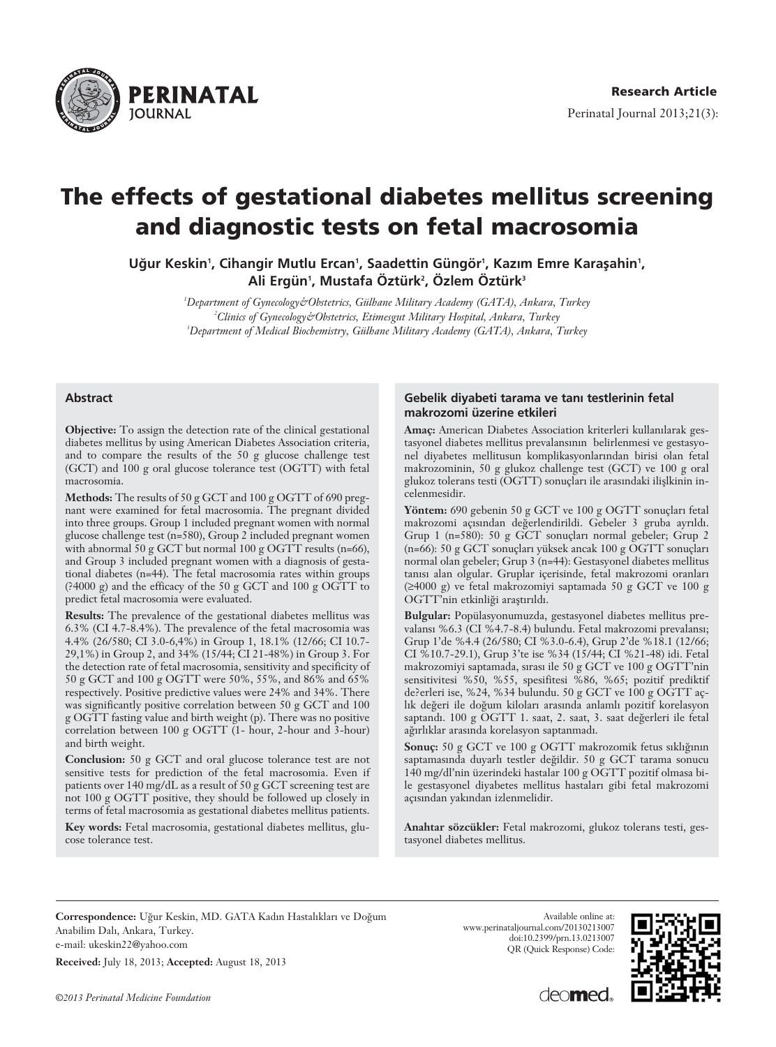

# **The effects of gestational diabetes mellitus screening and diagnostic tests on fetal macrosomia**

Uğur Keskin', Cihangir Mutlu Ercan', Saadettin Güngör', Kazım Emre Karaşahin', **Ali Ergün1 , Mustafa Öztürk2 , Özlem Öztürk3**

> *1 Department of Gynecology&Obstetrics, Gülhane Military Academy (GATA), Ankara, Turkey 2 Clinics of Gynecology&Obstetrics, Etimesgut Military Hospital, Ankara, Turkey 3 Department of Medical Biochemistry, Gülhane Military Academy (GATA), Ankara, Turkey*

#### **Abstract**

**Objective:** To assign the detection rate of the clinical gestational diabetes mellitus by using American Diabetes Association criteria, and to compare the results of the 50 g glucose challenge test (GCT) and 100 g oral glucose tolerance test (OGTT) with fetal macrosomia.

**Methods:** The results of 50 g GCT and 100 g OGTT of 690 pregnant were examined for fetal macrosomia. The pregnant divided into three groups. Group 1 included pregnant women with normal glucose challenge test (n=580), Group 2 included pregnant women with abnormal  $50 g$  GCT but normal 100 g OGTT results (n=66), and Group 3 included pregnant women with a diagnosis of gestational diabetes (n=44). The fetal macrosomia rates within groups (?4000 g) and the efficacy of the 50 g GCT and 100 g OGTT to predict fetal macrosomia were evaluated.

**Results:** The prevalence of the gestational diabetes mellitus was 6.3% (CI 4.7-8.4%). The prevalence of the fetal macrosomia was 4.4% (26/580; CI 3.0-6,4%) in Group 1, 18.1% (12/66; CI 10.7- 29,1%) in Group 2, and 34% (15/44; CI 21-48%) in Group 3. For the detection rate of fetal macrosomia, sensitivity and specificity of 50 g GCT and 100 g OGTT were 50%, 55%, and 86% and 65% respectively. Positive predictive values were 24% and 34%. There was significantly positive correlation between 50 g GCT and 100 g OGTT fasting value and birth weight (p). There was no positive correlation between 100 g OGTT (1- hour, 2-hour and 3-hour) and birth weight.

**Conclusion:** 50 g GCT and oral glucose tolerance test are not sensitive tests for prediction of the fetal macrosomia. Even if patients over 140 mg/dL as a result of 50 g GCT screening test are not 100 g OGTT positive, they should be followed up closely in terms of fetal macrosomia as gestational diabetes mellitus patients.

**Key words:** Fetal macrosomia, gestational diabetes mellitus, glucose tolerance test.

#### Gebelik diyabeti tarama ve tanı testlerinin fetal **makrozomi üzerine etkileri**

Amac: American Diabetes Association kriterleri kullanılarak gestasyonel diabetes mellitus prevalansının belirlenmesi ve gestasyonel diyabetes mellitusun komplikasyonlarından birisi olan fetal makrozominin, 50 g glukoz challenge test (GCT) ve 100 g oral glukoz tolerans testi (OGTT) sonuçları ile arasındaki ilişlkinin incelenmesidir.

Yöntem: 690 gebenin 50 g GCT ve 100 g OGTT sonuçları fetal makrozomi açısından değerlendirildi. Gebeler 3 gruba ayrıldı. Grup 1 (n=580): 50 g GCT sonuçları normal gebeler; Grup 2 (n=66): 50 g GCT sonuçları yüksek ancak 100 g  $\overline{O}$ GTT sonuçları normal olan gebeler; Grup 3 (n=44): Gestasyonel diabetes mellitus tanısı alan olgular. Gruplar içerisinde, fetal makrozomi oranları (≥4000 g) ve fetal makrozomiyi saptamada 50 g GCT ve 100 g OGTT'nin etkinliği arastırıldı.

**Bulgular:** Popülasyonumuzda, gestasyonel diabetes mellitus prevalansı %6.3 (CI %4.7-8.4) bulundu. Fetal makrozomi prevalansı; Grup 1'de %4.4 (26/580; CI %3.0-6.4), Grup 2'de %18.1 (12/66; CI %10.7-29.1), Grup 3'te ise %34 (15/44; CI %21-48) idi. Fetal makrozomiyi saptamada, sırası ile 50 g GCT ve 100 g OGTT'nin sensitivitesi %50, %55, spesifitesi %86, %65; pozitif prediktif de?erleri ise, %24, %34 bulundu. 50 g GCT ve 100 g OGTT açlık değeri ile doğum kiloları arasında anlamlı pozitif korelasyon saptandı. 100 g OGTT 1. saat, 2. saat, 3. saat değerleri ile fetal ağırlıklar arasında korelasyon saptanmadı.

Sonuç: 50 g GCT ve 100 g OGTT makrozomik fetus sıklığının saptamasında duyarlı testler değildir. 50 g GCT tarama sonucu 140 mg/dl'nin üzerindeki hastalar 100 g OGTT pozitif olmasa bile gestasyonel diyabetes mellitus hastaları gibi fetal makrozomi açısından yakından izlenmelidir.

**Anahtar sözcükler:** Fetal makrozomi, glukoz tolerans testi, gestasyonel diabetes mellitus.

Correspondence: Uğur Keskin, MD. GATA Kadın Hastalıkları ve Doğum Anabilim Dalı, Ankara, Turkey. e-mail: ukeskin22@yahoo.com

**Received:** July 18, 2013; **Accepted:** August 18, 2013

*©2013 Perinatal Medicine Foundation*

Available online at: www.perinataljournal.com/20130213007 doi:10.2399/prn.13.0213007 QR (Quick Response) Code:



deo**med**.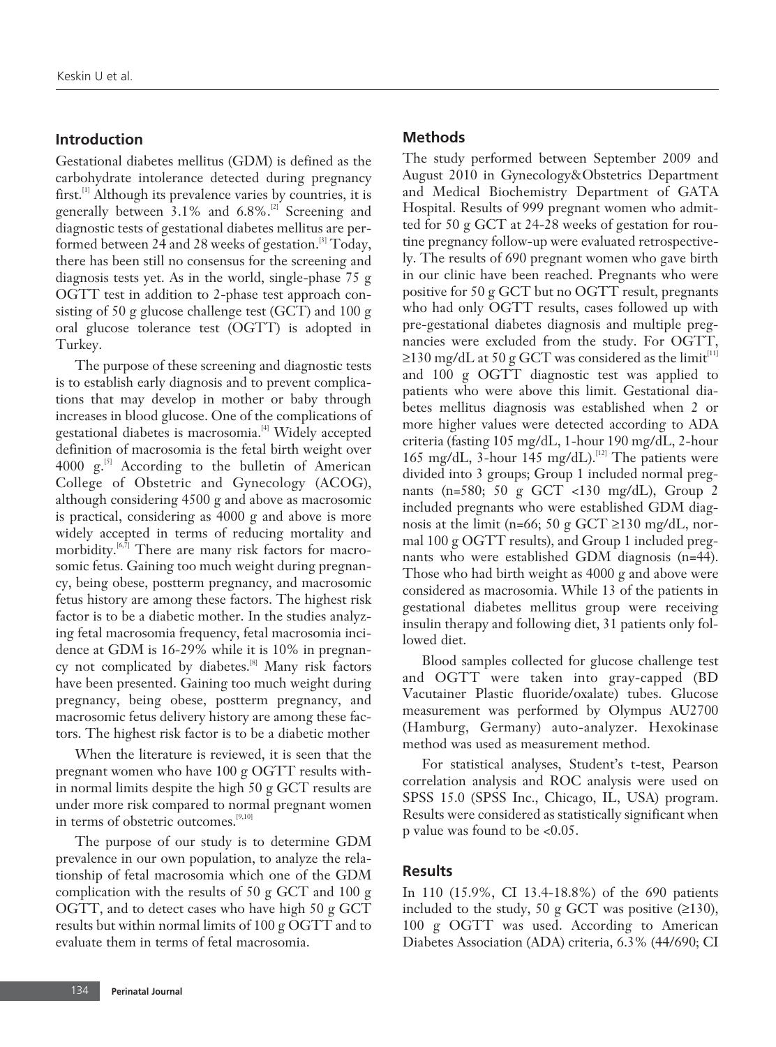## **Introduction**

Gestational diabetes mellitus (GDM) is defined as the carbohydrate intolerance detected during pregnancy first.<sup>[1]</sup> Although its prevalence varies by countries, it is generally between  $3.1\%$  and  $6.8\%$ .<sup>[2]</sup> Screening and diagnostic tests of gestational diabetes mellitus are performed between 24 and 28 weeks of gestation.<sup>[3]</sup> Today, there has been still no consensus for the screening and diagnosis tests yet. As in the world, single-phase 75 g OGTT test in addition to 2-phase test approach consisting of 50 g glucose challenge test (GCT) and 100 g oral glucose tolerance test (OGTT) is adopted in Turkey.

The purpose of these screening and diagnostic tests is to establish early diagnosis and to prevent complications that may develop in mother or baby through increases in blood glucose. One of the complications of gestational diabetes is macrosomia.<sup>[4]</sup> Widely accepted definition of macrosomia is the fetal birth weight over 4000  $g^{[5]}$  According to the bulletin of American College of Obstetric and Gynecology (ACOG), although considering 4500 g and above as macrosomic is practical, considering as 4000 g and above is more widely accepted in terms of reducing mortality and morbidity. $[6,7]$  There are many risk factors for macrosomic fetus. Gaining too much weight during pregnancy, being obese, postterm pregnancy, and macrosomic fetus history are among these factors. The highest risk factor is to be a diabetic mother. In the studies analyzing fetal macrosomia frequency, fetal macrosomia incidence at GDM is 16-29% while it is 10% in pregnancy not complicated by diabetes.<sup>[8]</sup> Many risk factors have been presented. Gaining too much weight during pregnancy, being obese, postterm pregnancy, and macrosomic fetus delivery history are among these factors. The highest risk factor is to be a diabetic mother

When the literature is reviewed, it is seen that the pregnant women who have 100 g OGTT results within normal limits despite the high 50 g GCT results are under more risk compared to normal pregnant women in terms of obstetric outcomes.<sup>[9,10]</sup>

The purpose of our study is to determine GDM prevalence in our own population, to analyze the relationship of fetal macrosomia which one of the GDM complication with the results of 50 g GCT and 100 g OGTT, and to detect cases who have high 50 g GCT results but within normal limits of 100 g OGTT and to evaluate them in terms of fetal macrosomia.

## **Methods**

The study performed between September 2009 and August 2010 in Gynecology&Obstetrics Department and Medical Biochemistry Department of GATA Hospital. Results of 999 pregnant women who admitted for 50 g GCT at 24-28 weeks of gestation for routine pregnancy follow-up were evaluated retrospectively. The results of 690 pregnant women who gave birth in our clinic have been reached. Pregnants who were positive for 50 g GCT but no OGTT result, pregnants who had only OGTT results, cases followed up with pre-gestational diabetes diagnosis and multiple pregnancies were excluded from the study. For OGTT, ≥130 mg/dL at 50 g GCT was considered as the limit<sup>[11]</sup> and 100 g OGTT diagnostic test was applied to patients who were above this limit. Gestational diabetes mellitus diagnosis was established when 2 or more higher values were detected according to ADA criteria (fasting 105 mg/dL, 1-hour 190 mg/dL, 2-hour 165 mg/dL, 3-hour 145 mg/dL).<sup>[12]</sup> The patients were divided into 3 groups; Group 1 included normal pregnants (n=580; 50 g GCT <130 mg/dL), Group 2 included pregnants who were established GDM diagnosis at the limit (n=66; 50 g GCT ≥130 mg/dL, normal 100 g OGTT results), and Group 1 included pregnants who were established GDM diagnosis (n=44). Those who had birth weight as 4000 g and above were considered as macrosomia. While 13 of the patients in gestational diabetes mellitus group were receiving insulin therapy and following diet, 31 patients only followed diet.

Blood samples collected for glucose challenge test and OGTT were taken into gray-capped (BD Vacutainer Plastic fluoride/oxalate) tubes. Glucose measurement was performed by Olympus AU2700 (Hamburg, Germany) auto-analyzer. Hexokinase method was used as measurement method.

For statistical analyses, Student's t-test, Pearson correlation analysis and ROC analysis were used on SPSS 15.0 (SPSS Inc., Chicago, IL, USA) program. Results were considered as statistically significant when p value was found to be <0.05.

#### **Results**

In 110 (15.9%, CI 13.4-18.8%) of the 690 patients included to the study, 50 g GCT was positive  $(≥130)$ , 100 g OGTT was used. According to American Diabetes Association (ADA) criteria, 6.3% (44/690; CI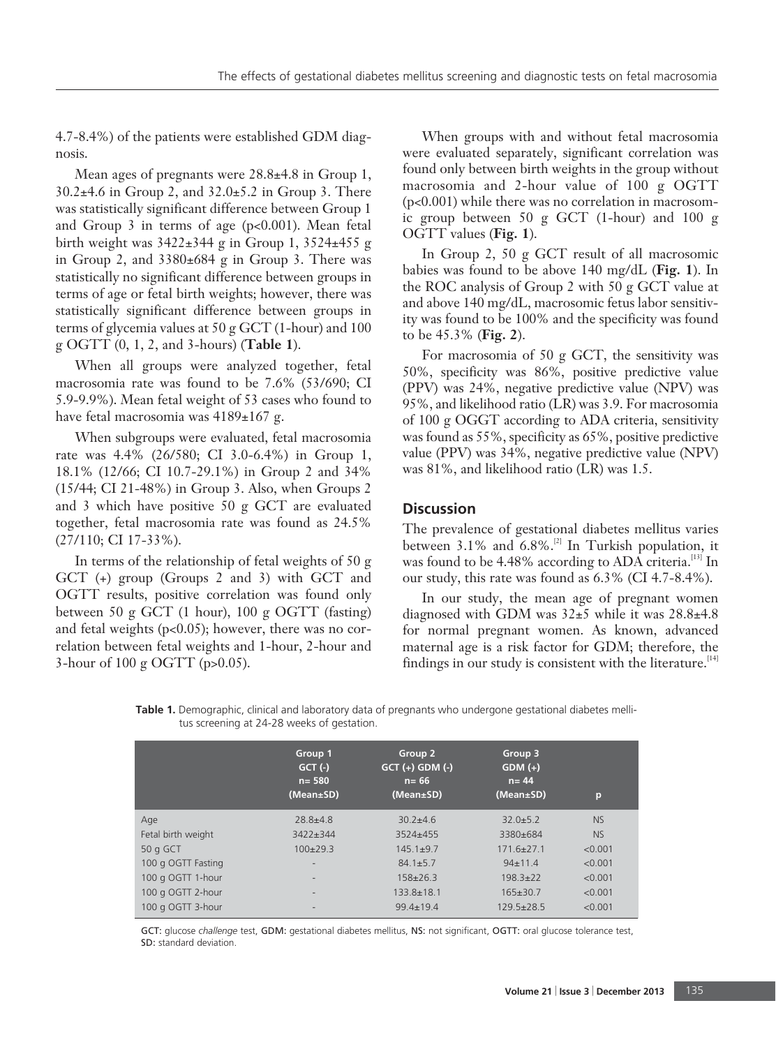4.7-8.4%) of the patients were established GDM diagnosis.

Mean ages of pregnants were 28.8±4.8 in Group 1, 30.2±4.6 in Group 2, and 32.0±5.2 in Group 3. There was statistically significant difference between Group 1 and Group 3 in terms of age (p<0.001). Mean fetal birth weight was 3422±344 g in Group 1, 3524±455 g in Group 2, and 3380±684 g in Group 3. There was statistically no significant difference between groups in terms of age or fetal birth weights; however, there was statistically significant difference between groups in terms of glycemia values at 50 g GCT (1-hour) and 100 g OGTT (0, 1, 2, and 3-hours) (**Table 1**).

When all groups were analyzed together, fetal macrosomia rate was found to be 7.6% (53/690; CI 5.9-9.9%). Mean fetal weight of 53 cases who found to have fetal macrosomia was  $4189 \pm 167$  g.

When subgroups were evaluated, fetal macrosomia rate was 4.4% (26/580; CI 3.0-6.4%) in Group 1, 18.1% (12/66; CI 10.7-29.1%) in Group 2 and 34% (15/44; CI 21-48%) in Group 3. Also, when Groups 2 and 3 which have positive 50 g GCT are evaluated together, fetal macrosomia rate was found as 24.5% (27/110; CI 17-33%).

In terms of the relationship of fetal weights of 50 g GCT (+) group (Groups 2 and 3) with GCT and OGTT results, positive correlation was found only between 50 g GCT (1 hour), 100 g OGTT (fasting) and fetal weights (p<0.05); however, there was no correlation between fetal weights and 1-hour, 2-hour and 3-hour of 100 g OGTT (p>0.05).

When groups with and without fetal macrosomia were evaluated separately, significant correlation was found only between birth weights in the group without macrosomia and 2-hour value of 100 g OGTT (p<0.001) while there was no correlation in macrosomic group between 50 g GCT (1-hour) and 100 g OGTT values (**Fig. 1**).

In Group 2, 50 g GCT result of all macrosomic babies was found to be above 140 mg/dL (**Fig. 1**). In the ROC analysis of Group 2 with 50 g GCT value at and above 140 mg/dL, macrosomic fetus labor sensitivity was found to be 100% and the specificity was found to be 45.3% (**Fig. 2**).

For macrosomia of 50 g GCT, the sensitivity was 50%, specificity was 86%, positive predictive value (PPV) was 24%, negative predictive value (NPV) was 95%, and likelihood ratio (LR) was 3.9. For macrosomia of 100 g OGGT according to ADA criteria, sensitivity was found as 55%, specificity as 65%, positive predictive value (PPV) was 34%, negative predictive value (NPV) was 81%, and likelihood ratio (LR) was 1.5.

## **Discussion**

The prevalence of gestational diabetes mellitus varies between  $3.1\%$  and  $6.8\%$ .<sup>[2]</sup> In Turkish population, it was found to be 4.48% according to ADA criteria.<sup>[13]</sup> In our study, this rate was found as 6.3% (CI 4.7-8.4%).

In our study, the mean age of pregnant women diagnosed with GDM was 32±5 while it was 28.8±4.8 for normal pregnant women. As known, advanced maternal age is a risk factor for GDM; therefore, the findings in our study is consistent with the literature.  $[14]$ 

**Table 1.** Demographic, clinical and laboratory data of pregnants who undergone gestational diabetes mellitus screening at 24-28 weeks of gestation.

|                    | Group 1<br>$GCT$ (-)<br>$n = 580$<br>(Mean±SD) | Group 2<br>$GCT (+)$ $GDM (-)$<br>$n = 66$<br>(Mean±SD) | Group 3<br>$GDM (+)$<br>$n = 44$<br>(Mean±SD) | p         |
|--------------------|------------------------------------------------|---------------------------------------------------------|-----------------------------------------------|-----------|
| Age                | $28.8 + 4.8$                                   | $30.2 + 4.6$                                            | $32.0 + 5.2$                                  | <b>NS</b> |
| Fetal birth weight | $3422 + 344$                                   | $3524 + 455$                                            | 3380±684                                      | <b>NS</b> |
| 50 g GCT           | $100+29.3$                                     | $145.1 + 9.7$                                           | $171.6 \pm 27.1$                              | < 0.001   |
| 100 g OGTT Fasting | $\overline{\phantom{a}}$                       | $84.1 + 5.7$                                            | $94 \pm 11.4$                                 | < 0.001   |
| 100 g OGTT 1-hour  | $\overline{\phantom{0}}$                       | $158 + 26.3$                                            | $198.3 + 22$                                  | < 0.001   |
| 100 g OGTT 2-hour  | ۰                                              | $133.8 \pm 18.1$                                        | $165 \pm 30.7$                                | < 0.001   |
| 100 g OGTT 3-hour  | $\qquad \qquad \blacksquare$                   | $99.4 \pm 19.4$                                         | $129.5+28.5$                                  | < 0.001   |

GCT: glucose *challenge* test, GDM: gestational diabetes mellitus, NS: not significant, OGTT: oral glucose tolerance test, SD: standard deviation.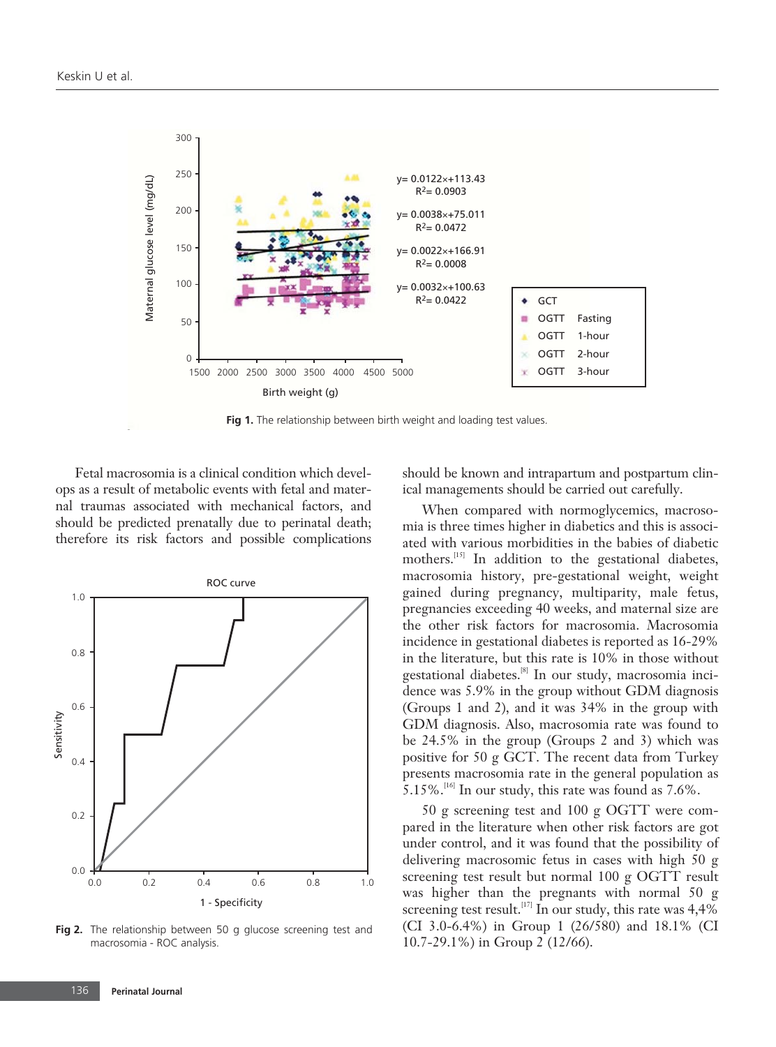

Fig 1. The relationship between birth weight and loading test values.

Fetal macrosomia is a clinical condition which develops as a result of metabolic events with fetal and maternal traumas associated with mechanical factors, and should be predicted prenatally due to perinatal death; therefore its risk factors and possible complications



**Fig 2.** The relationship between 50 g glucose screening test and macrosomia - ROC analysis.

should be known and intrapartum and postpartum clinical managements should be carried out carefully.

When compared with normoglycemics, macrosomia is three times higher in diabetics and this is associated with various morbidities in the babies of diabetic mothers.<sup>[15]</sup> In addition to the gestational diabetes, macrosomia history, pre-gestational weight, weight gained during pregnancy, multiparity, male fetus, pregnancies exceeding 40 weeks, and maternal size are the other risk factors for macrosomia. Macrosomia incidence in gestational diabetes is reported as 16-29% in the literature, but this rate is 10% in those without gestational diabetes.<sup>[8]</sup> In our study, macrosomia incidence was 5.9% in the group without GDM diagnosis (Groups 1 and 2), and it was 34% in the group with GDM diagnosis. Also, macrosomia rate was found to be 24.5% in the group (Groups 2 and 3) which was positive for 50 g GCT. The recent data from Turkey presents macrosomia rate in the general population as  $5.15\%$ .<sup>[16]</sup> In our study, this rate was found as 7.6%.

50 g screening test and 100 g OGTT were compared in the literature when other risk factors are got under control, and it was found that the possibility of delivering macrosomic fetus in cases with high 50 g screening test result but normal 100 g OGTT result was higher than the pregnants with normal 50 g screening test result.<sup>[17]</sup> In our study, this rate was  $4,4\%$ (CI 3.0-6.4%) in Group 1 (26/580) and 18.1% (CI 10.7-29.1%) in Group 2 (12/66).